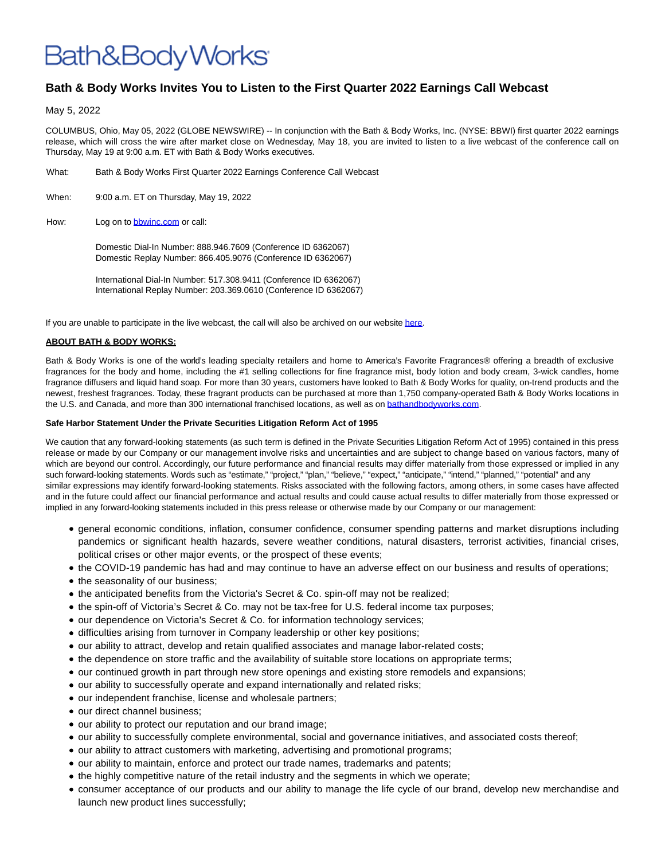## Bath&BodyWorks<sup>.</sup>

## **Bath & Body Works Invites You to Listen to the First Quarter 2022 Earnings Call Webcast**

May 5, 2022

COLUMBUS, Ohio, May 05, 2022 (GLOBE NEWSWIRE) -- In conjunction with the Bath & Body Works, Inc. (NYSE: BBWI) first quarter 2022 earnings release, which will cross the wire after market close on Wednesday, May 18, you are invited to listen to a live webcast of the conference call on Thursday, May 19 at 9:00 a.m. ET with Bath & Body Works executives.

- What: Bath & Body Works First Quarter 2022 Earnings Conference Call Webcast
- When: 9:00 a.m. ET on Thursday, May 19, 2022
- How: Log on to **bbwinc.com** or call:

Domestic Dial-In Number: 888.946.7609 (Conference ID 6362067) Domestic Replay Number: 866.405.9076 (Conference ID 6362067)

International Dial-In Number: 517.308.9411 (Conference ID 6362067) International Replay Number: 203.369.0610 (Conference ID 6362067)

If you are unable to participate in the live webcast, the call will also be archived on our websit[e here.](https://www.globenewswire.com/Tracker?data=OfswPOF3XTyzLYN1rOolNTjSLHnMUul2Kvq9SrVwnKcmwY2bFxr9bFs2ScIZ-7cGpV2KLpCJd7_P8duXmwZu2EOXZucmIb_qLSWgMJQigBfLrCN1bC_M2WgJ2ckMzAQBmAdG68ObJgypSWldW8uLCQ==)

## **ABOUT BATH & BODY WORKS:**

Bath & Body Works is one of the world's leading specialty retailers and home to America's Favorite Fragrances® offering a breadth of exclusive fragrances for the body and home, including the #1 selling collections for fine fragrance mist, body lotion and body cream, 3-wick candles, home fragrance diffusers and liquid hand soap. For more than 30 years, customers have looked to Bath & Body Works for quality, on-trend products and the newest, freshest fragrances. Today, these fragrant products can be purchased at more than 1,750 company-operated Bath & Body Works locations in the U.S. and Canada, and more than 300 international franchised locations, as well as on [bathandbodyworks.com.](https://www.globenewswire.com/Tracker?data=RZQPZ60LCnPBJLXCIX8mIqCVbAnLqKiQND2k80PRJKWDul3eAZIubG1eTF4bnKel0wfan7eL1IAm6t9FpVRnV6SMXB00Vhmmnx_PK-z7vXo=)

## **Safe Harbor Statement Under the Private Securities Litigation Reform Act of 1995**

We caution that any forward-looking statements (as such term is defined in the Private Securities Litigation Reform Act of 1995) contained in this press release or made by our Company or our management involve risks and uncertainties and are subject to change based on various factors, many of which are beyond our control. Accordingly, our future performance and financial results may differ materially from those expressed or implied in any such forward-looking statements. Words such as "estimate," "project," "plan," "believe," "expect," "anticipate," "intend," "planned," "potential" and any similar expressions may identify forward-looking statements. Risks associated with the following factors, among others, in some cases have affected and in the future could affect our financial performance and actual results and could cause actual results to differ materially from those expressed or implied in any forward-looking statements included in this press release or otherwise made by our Company or our management:

- general economic conditions, inflation, consumer confidence, consumer spending patterns and market disruptions including pandemics or significant health hazards, severe weather conditions, natural disasters, terrorist activities, financial crises, political crises or other major events, or the prospect of these events;
- the COVID-19 pandemic has had and may continue to have an adverse effect on our business and results of operations;
- the seasonality of our business;
- the anticipated benefits from the Victoria's Secret & Co. spin-off may not be realized;
- the spin-off of Victoria's Secret & Co. may not be tax-free for U.S. federal income tax purposes;
- our dependence on Victoria's Secret & Co. for information technology services;
- difficulties arising from turnover in Company leadership or other key positions;
- our ability to attract, develop and retain qualified associates and manage labor-related costs;
- the dependence on store traffic and the availability of suitable store locations on appropriate terms;
- our continued growth in part through new store openings and existing store remodels and expansions;
- our ability to successfully operate and expand internationally and related risks;
- our independent franchise, license and wholesale partners;
- our direct channel business;
- our ability to protect our reputation and our brand image;
- our ability to successfully complete environmental, social and governance initiatives, and associated costs thereof;
- our ability to attract customers with marketing, advertising and promotional programs;
- our ability to maintain, enforce and protect our trade names, trademarks and patents;
- the highly competitive nature of the retail industry and the segments in which we operate;
- consumer acceptance of our products and our ability to manage the life cycle of our brand, develop new merchandise and launch new product lines successfully;